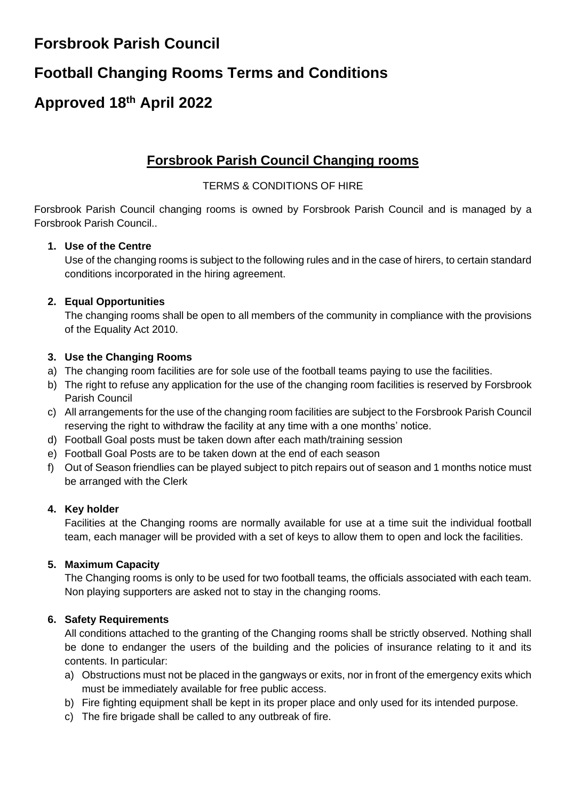# **Forsbrook Parish Council**

# **Football Changing Rooms Terms and Conditions**

# **Approved 18th April 2022**

## **Forsbrook Parish Council Changing rooms**

## TERMS & CONDITIONS OF HIRE

Forsbrook Parish Council changing rooms is owned by Forsbrook Parish Council and is managed by a Forsbrook Parish Council..

## **1. Use of the Centre**

Use of the changing rooms is subject to the following rules and in the case of hirers, to certain standard conditions incorporated in the hiring agreement.

## **2. Equal Opportunities**

The changing rooms shall be open to all members of the community in compliance with the provisions of the Equality Act 2010.

## **3. Use the Changing Rooms**

- a) The changing room facilities are for sole use of the football teams paying to use the facilities.
- b) The right to refuse any application for the use of the changing room facilities is reserved by Forsbrook Parish Council
- c) All arrangements for the use of the changing room facilities are subject to the Forsbrook Parish Council reserving the right to withdraw the facility at any time with a one months' notice.
- d) Football Goal posts must be taken down after each math/training session
- e) Football Goal Posts are to be taken down at the end of each season
- f) Out of Season friendlies can be played subject to pitch repairs out of season and 1 months notice must be arranged with the Clerk

## **4. Key holder**

Facilities at the Changing rooms are normally available for use at a time suit the individual football team, each manager will be provided with a set of keys to allow them to open and lock the facilities.

### **5. Maximum Capacity**

The Changing rooms is only to be used for two football teams, the officials associated with each team. Non playing supporters are asked not to stay in the changing rooms.

### **6. Safety Requirements**

All conditions attached to the granting of the Changing rooms shall be strictly observed. Nothing shall be done to endanger the users of the building and the policies of insurance relating to it and its contents. In particular:

- a) Obstructions must not be placed in the gangways or exits, nor in front of the emergency exits which must be immediately available for free public access.
- b) Fire fighting equipment shall be kept in its proper place and only used for its intended purpose.
- c) The fire brigade shall be called to any outbreak of fire.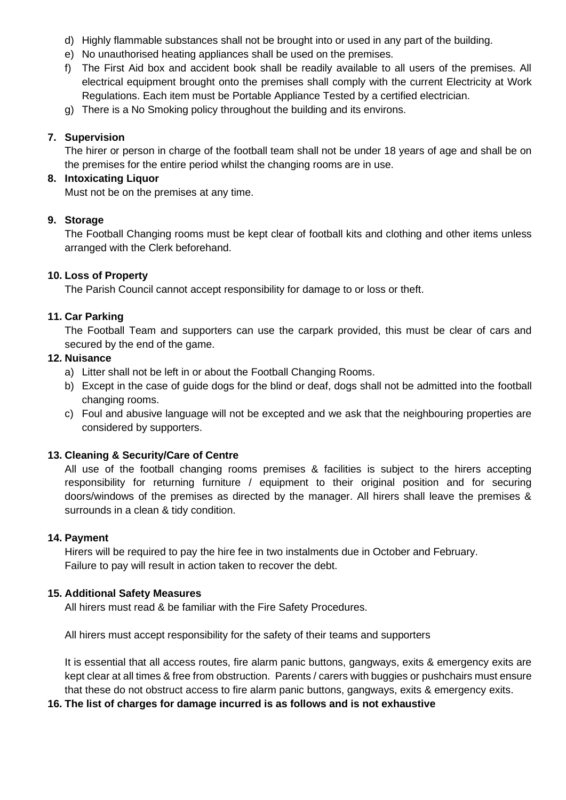- d) Highly flammable substances shall not be brought into or used in any part of the building.
- e) No unauthorised heating appliances shall be used on the premises.
- f) The First Aid box and accident book shall be readily available to all users of the premises. All electrical equipment brought onto the premises shall comply with the current Electricity at Work Regulations. Each item must be Portable Appliance Tested by a certified electrician.
- g) There is a No Smoking policy throughout the building and its environs.

#### **7. Supervision**

The hirer or person in charge of the football team shall not be under 18 years of age and shall be on the premises for the entire period whilst the changing rooms are in use.

#### **8. Intoxicating Liquor**

Must not be on the premises at any time.

#### **9. Storage**

The Football Changing rooms must be kept clear of football kits and clothing and other items unless arranged with the Clerk beforehand.

#### **10. Loss of Property**

The Parish Council cannot accept responsibility for damage to or loss or theft.

#### **11. Car Parking**

The Football Team and supporters can use the carpark provided, this must be clear of cars and secured by the end of the game.

#### **12. Nuisance**

- a) Litter shall not be left in or about the Football Changing Rooms.
- b) Except in the case of guide dogs for the blind or deaf, dogs shall not be admitted into the football changing rooms.
- c) Foul and abusive language will not be excepted and we ask that the neighbouring properties are considered by supporters.

#### **13. Cleaning & Security/Care of Centre**

All use of the football changing rooms premises & facilities is subject to the hirers accepting responsibility for returning furniture / equipment to their original position and for securing doors/windows of the premises as directed by the manager. All hirers shall leave the premises & surrounds in a clean & tidy condition.

#### **14. Payment**

Hirers will be required to pay the hire fee in two instalments due in October and February. Failure to pay will result in action taken to recover the debt.

#### **15. Additional Safety Measures**

All hirers must read & be familiar with the Fire Safety Procedures.

All hirers must accept responsibility for the safety of their teams and supporters

It is essential that all access routes, fire alarm panic buttons, gangways, exits & emergency exits are kept clear at all times & free from obstruction. Parents / carers with buggies or pushchairs must ensure that these do not obstruct access to fire alarm panic buttons, gangways, exits & emergency exits.

#### **16. The list of charges for damage incurred is as follows and is not exhaustive**